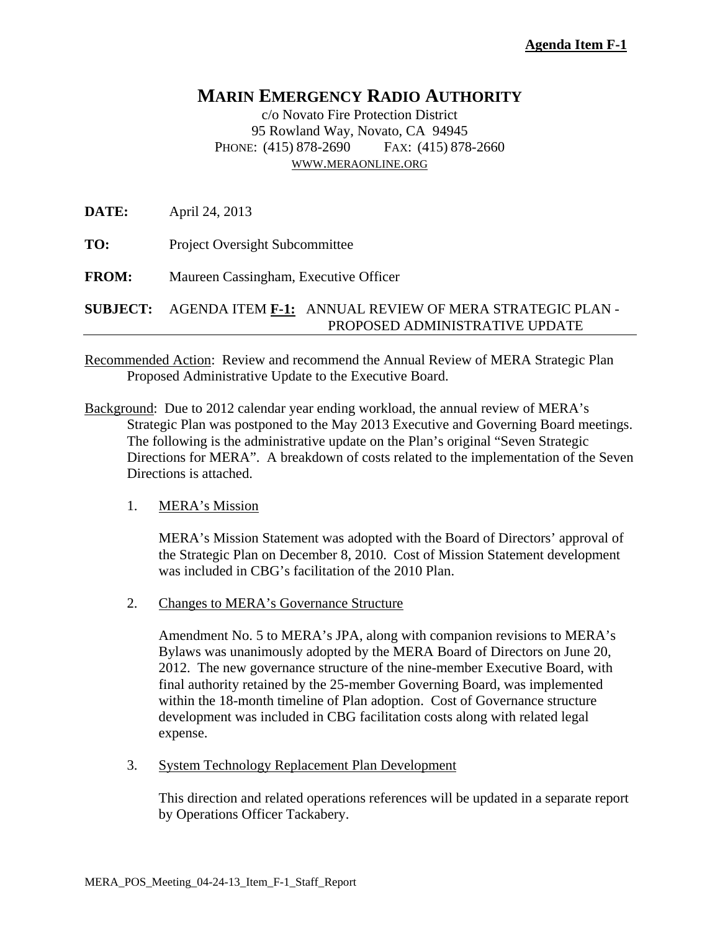# **MARIN EMERGENCY RADIO AUTHORITY**

c/o Novato Fire Protection District 95 Rowland Way, Novato, CA 94945 PHONE: (415) 878-2690 FAX: (415) 878-2660 WWW.MERAONLINE.ORG

**DATE:** April 24, 2013

**TO:** Project Oversight Subcommittee

**FROM:** Maureen Cassingham, Executive Officer

**SUBJECT:** AGENDA ITEM **F-1:** ANNUAL REVIEW OF MERA STRATEGIC PLAN - PROPOSED ADMINISTRATIVE UPDATE

Recommended Action: Review and recommend the Annual Review of MERA Strategic Plan Proposed Administrative Update to the Executive Board.

Background: Due to 2012 calendar year ending workload, the annual review of MERA's Strategic Plan was postponed to the May 2013 Executive and Governing Board meetings. The following is the administrative update on the Plan's original "Seven Strategic Directions for MERA". A breakdown of costs related to the implementation of the Seven Directions is attached.

## 1. MERA's Mission

MERA's Mission Statement was adopted with the Board of Directors' approval of the Strategic Plan on December 8, 2010. Cost of Mission Statement development was included in CBG's facilitation of the 2010 Plan.

2. Changes to MERA's Governance Structure

Amendment No. 5 to MERA's JPA, along with companion revisions to MERA's Bylaws was unanimously adopted by the MERA Board of Directors on June 20, 2012. The new governance structure of the nine-member Executive Board, with final authority retained by the 25-member Governing Board, was implemented within the 18-month timeline of Plan adoption. Cost of Governance structure development was included in CBG facilitation costs along with related legal expense.

3. System Technology Replacement Plan Development

This direction and related operations references will be updated in a separate report by Operations Officer Tackabery.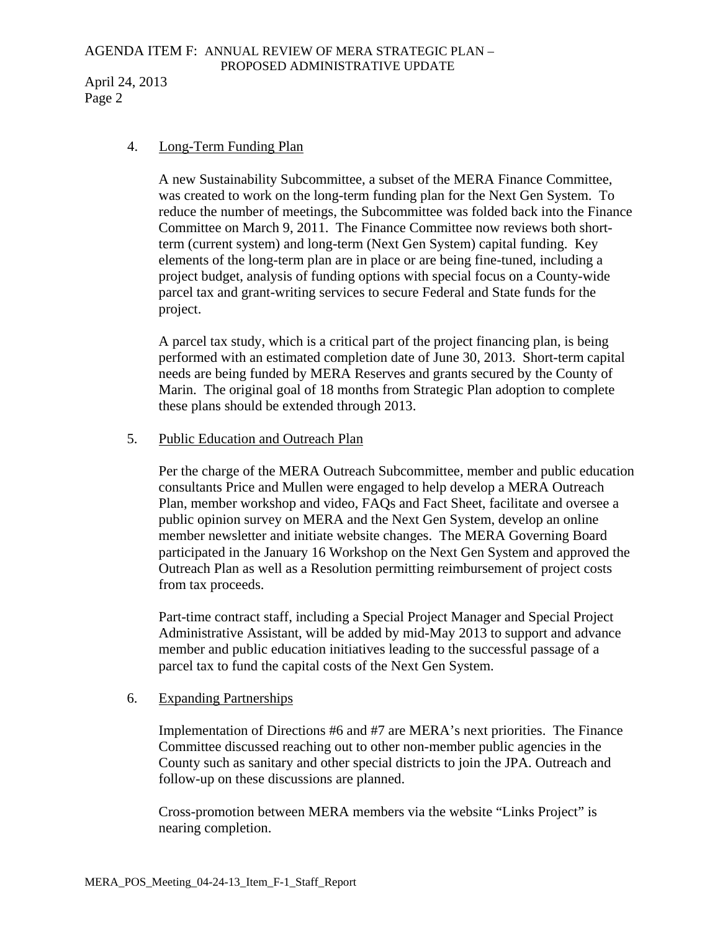# AGENDA ITEM F: ANNUAL REVIEW OF MERA STRATEGIC PLAN – PROPOSED ADMINISTRATIVE UPDATE

April 24, 2013 Page 2

#### 4. Long-Term Funding Plan

A new Sustainability Subcommittee, a subset of the MERA Finance Committee, was created to work on the long-term funding plan for the Next Gen System. To reduce the number of meetings, the Subcommittee was folded back into the Finance Committee on March 9, 2011. The Finance Committee now reviews both shortterm (current system) and long-term (Next Gen System) capital funding. Key elements of the long-term plan are in place or are being fine-tuned, including a project budget, analysis of funding options with special focus on a County-wide parcel tax and grant-writing services to secure Federal and State funds for the project.

A parcel tax study, which is a critical part of the project financing plan, is being performed with an estimated completion date of June 30, 2013. Short-term capital needs are being funded by MERA Reserves and grants secured by the County of Marin. The original goal of 18 months from Strategic Plan adoption to complete these plans should be extended through 2013.

## 5. Public Education and Outreach Plan

Per the charge of the MERA Outreach Subcommittee, member and public education consultants Price and Mullen were engaged to help develop a MERA Outreach Plan, member workshop and video, FAQs and Fact Sheet, facilitate and oversee a public opinion survey on MERA and the Next Gen System, develop an online member newsletter and initiate website changes. The MERA Governing Board participated in the January 16 Workshop on the Next Gen System and approved the Outreach Plan as well as a Resolution permitting reimbursement of project costs from tax proceeds.

Part-time contract staff, including a Special Project Manager and Special Project Administrative Assistant, will be added by mid-May 2013 to support and advance member and public education initiatives leading to the successful passage of a parcel tax to fund the capital costs of the Next Gen System.

## 6. Expanding Partnerships

Implementation of Directions #6 and #7 are MERA's next priorities. The Finance Committee discussed reaching out to other non-member public agencies in the County such as sanitary and other special districts to join the JPA. Outreach and follow-up on these discussions are planned.

Cross-promotion between MERA members via the website "Links Project" is nearing completion.